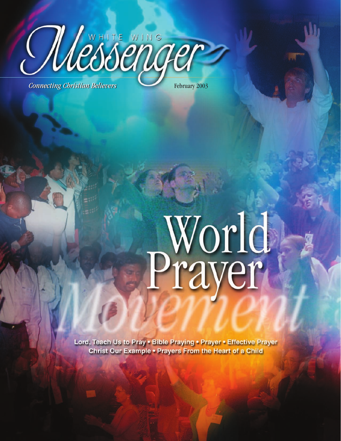

World<br>Prayer

Lord, Teach Us to Pray . Bible Praying . Prayer . Effective Prayer Christ Our Example . Prayers From the Heart of a Child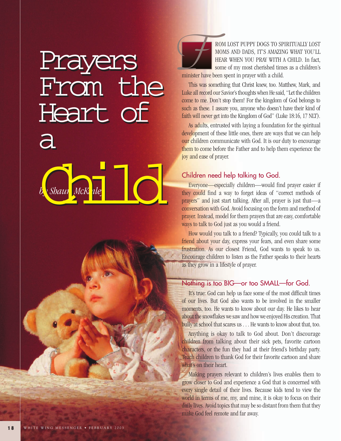# Prayers From the Heart of Heart of a by Shaun McKinley Prayers F From the a b. Shaur McK le



ROM LOST PUPPY DOGS TO SPIRITUALLY LOST MOMS AND DADS, IT'S AMAZING WHAT YOU'LL HEAR WHEN YOU PRAY WITH A CHILD. In fact, some of my most cherished times as a children's

minister have been spent in prayer with a child.

This was something that Christ knew, too. Matthew, Mark, and Luke all record our Savior's thoughts when He said, "Let the children come to me. Don't stop them! For the kingdom of God belongs to such as these. I assure you, anyone who doesn't have their kind of faith will never get into the Kingdom of God" (Luke 18:16, 17 NLT).

As adults, entrusted with laying a foundation for the spiritual development of these little ones, there are ways that we can help our children communicate with God. It is our duty to encourage them to come before the Father and to help them experience the joy and ease of prayer.

# Children need help talking to God.

Everyone—especially children—would find prayer easier if they could find a way to forget ideas of "correct methods of prayers" and just start talking. After all, prayer is just that—a conversation with God. Avoid focusing on the form and method of prayer. Instead, model for them prayers that are easy, comfortable ways to talk to God just as you would a friend.

How would you talk to a friend? Typically, you could talk to a friend about your day, express your fears, and even share some frustration. As our closest Friend, God wants to speak to us. Encourage children to listen as the Father speaks to their hearts as they grow in a lifestyle of prayer.

## Nothing is too BIG—or too SMALL—for God.

It's true: God can help us face some of the most difficult times of our lives. But God also wants to be involved in the smaller moments, too. He wants to know about our day. He likes to hear about the snowflakes we saw and how we enjoyed His creation. That bully at school that scares us . . . He wants to know about that, too.

Anything is okay to talk to God about. Don't discourage children from talking about their sick pets, favorite cartoon characters, or the fun they had at their friend's birthday party. Teach children to thank God for their favorite cartoon and share what's on their heart.

Making prayers relevant to children's lives enables them to grow closer to God and experience a God that is concerned with every single detail of their lives. Because kids tend to view the world in terms of me, my, and mine, it is okay to focus on their daily lives. Avoid topics that may be so distant from them that they make God feel remote and far away.